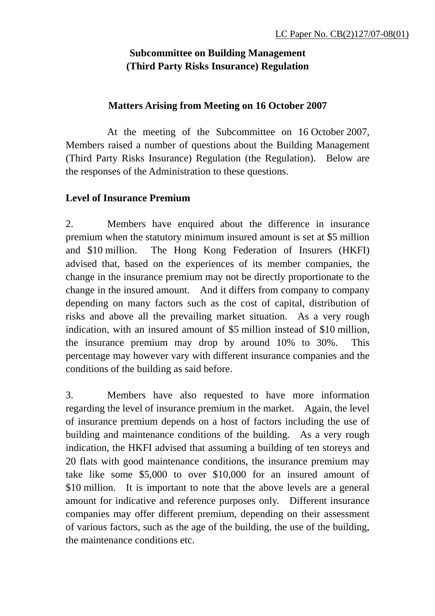# **Subcommittee on Building Management (Third Party Risks Insurance) Regulation**

#### **Matters Arising from Meeting on 16 October 2007**

 At the meeting of the Subcommittee on 16 October 2007, Members raised a number of questions about the Building Management (Third Party Risks Insurance) Regulation (the Regulation). Below are the responses of the Administration to these questions.

#### **Level of Insurance Premium**

2. Members have enquired about the difference in insurance premium when the statutory minimum insured amount is set at \$5 million and \$10 million. The Hong Kong Federation of Insurers (HKFI) advised that, based on the experiences of its member companies, the change in the insurance premium may not be directly proportionate to the change in the insured amount. And it differs from company to company depending on many factors such as the cost of capital, distribution of risks and above all the prevailing market situation. As a very rough indication, with an insured amount of \$5 million instead of \$10 million, the insurance premium may drop by around 10% to 30%. This percentage may however vary with different insurance companies and the conditions of the building as said before.

3. Members have also requested to have more information regarding the level of insurance premium in the market. Again, the level of insurance premium depends on a host of factors including the use of building and maintenance conditions of the building. As a very rough indication, the HKFI advised that assuming a building of ten storeys and 20 flats with good maintenance conditions, the insurance premium may take like some \$5,000 to over \$10,000 for an insured amount of \$10 million. It is important to note that the above levels are a general amount for indicative and reference purposes only. Different insurance companies may offer different premium, depending on their assessment of various factors, such as the age of the building, the use of the building, the maintenance conditions etc.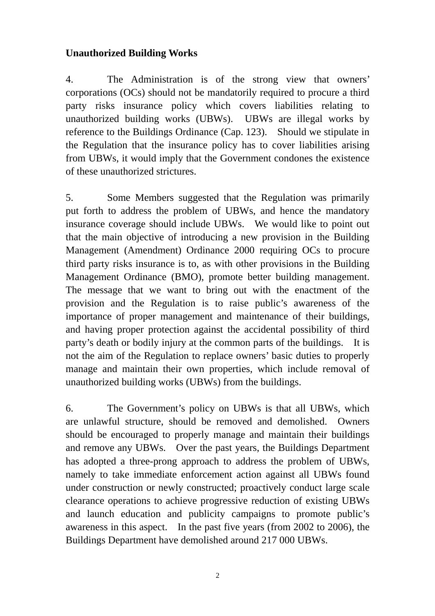## **Unauthorized Building Works**

4. The Administration is of the strong view that owners' corporations (OCs) should not be mandatorily required to procure a third party risks insurance policy which covers liabilities relating to unauthorized building works (UBWs). UBWs are illegal works by reference to the Buildings Ordinance (Cap. 123). Should we stipulate in the Regulation that the insurance policy has to cover liabilities arising from UBWs, it would imply that the Government condones the existence of these unauthorized strictures.

5. Some Members suggested that the Regulation was primarily put forth to address the problem of UBWs, and hence the mandatory insurance coverage should include UBWs. We would like to point out that the main objective of introducing a new provision in the Building Management (Amendment) Ordinance 2000 requiring OCs to procure third party risks insurance is to, as with other provisions in the Building Management Ordinance (BMO), promote better building management. The message that we want to bring out with the enactment of the provision and the Regulation is to raise public's awareness of the importance of proper management and maintenance of their buildings, and having proper protection against the accidental possibility of third party's death or bodily injury at the common parts of the buildings. It is not the aim of the Regulation to replace owners' basic duties to properly manage and maintain their own properties, which include removal of unauthorized building works (UBWs) from the buildings.

6. The Government's policy on UBWs is that all UBWs, which are unlawful structure, should be removed and demolished. Owners should be encouraged to properly manage and maintain their buildings and remove any UBWs. Over the past years, the Buildings Department has adopted a three-prong approach to address the problem of UBWs, namely to take immediate enforcement action against all UBWs found under construction or newly constructed; proactively conduct large scale clearance operations to achieve progressive reduction of existing UBWs and launch education and publicity campaigns to promote public's awareness in this aspect. In the past five years (from 2002 to 2006), the Buildings Department have demolished around 217 000 UBWs.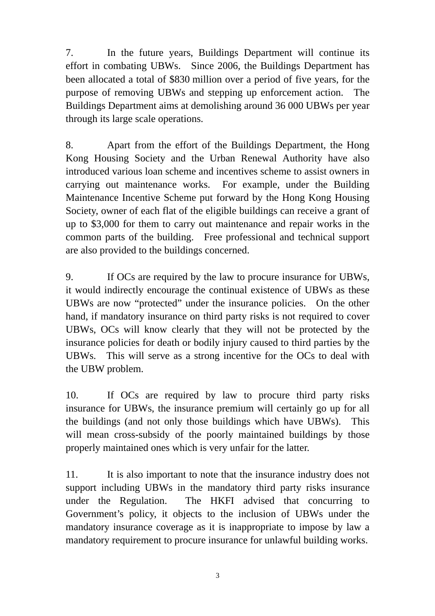7. In the future years, Buildings Department will continue its effort in combating UBWs. Since 2006, the Buildings Department has been allocated a total of \$830 million over a period of five years, for the purpose of removing UBWs and stepping up enforcement action. The Buildings Department aims at demolishing around 36 000 UBWs per year through its large scale operations.

8. Apart from the effort of the Buildings Department, the Hong Kong Housing Society and the Urban Renewal Authority have also introduced various loan scheme and incentives scheme to assist owners in carrying out maintenance works. For example, under the Building Maintenance Incentive Scheme put forward by the Hong Kong Housing Society, owner of each flat of the eligible buildings can receive a grant of up to \$3,000 for them to carry out maintenance and repair works in the common parts of the building. Free professional and technical support are also provided to the buildings concerned.

9. If OCs are required by the law to procure insurance for UBWs, it would indirectly encourage the continual existence of UBWs as these UBWs are now "protected" under the insurance policies. On the other hand, if mandatory insurance on third party risks is not required to cover UBWs, OCs will know clearly that they will not be protected by the insurance policies for death or bodily injury caused to third parties by the UBWs. This will serve as a strong incentive for the OCs to deal with the UBW problem.

10. If OCs are required by law to procure third party risks insurance for UBWs, the insurance premium will certainly go up for all the buildings (and not only those buildings which have UBWs). This will mean cross-subsidy of the poorly maintained buildings by those properly maintained ones which is very unfair for the latter.

11. It is also important to note that the insurance industry does not support including UBWs in the mandatory third party risks insurance under the Regulation. The HKFI advised that concurring to Government's policy, it objects to the inclusion of UBWs under the mandatory insurance coverage as it is inappropriate to impose by law a mandatory requirement to procure insurance for unlawful building works.

3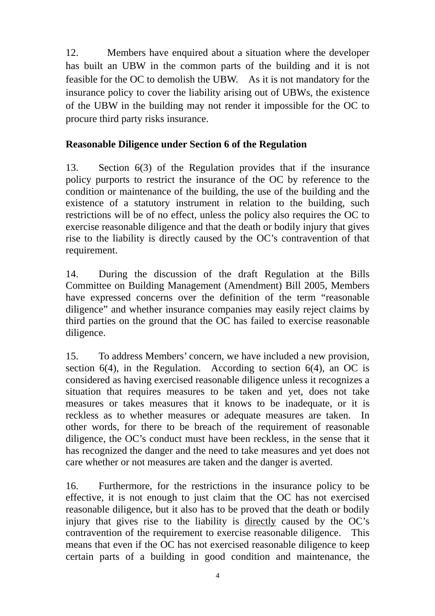12. Members have enquired about a situation where the developer has built an UBW in the common parts of the building and it is not feasible for the OC to demolish the UBW. As it is not mandatory for the insurance policy to cover the liability arising out of UBWs, the existence of the UBW in the building may not render it impossible for the OC to procure third party risks insurance.

## **Reasonable Diligence under Section 6 of the Regulation**

13. Section 6(3) of the Regulation provides that if the insurance policy purports to restrict the insurance of the OC by reference to the condition or maintenance of the building, the use of the building and the existence of a statutory instrument in relation to the building, such restrictions will be of no effect, unless the policy also requires the OC to exercise reasonable diligence and that the death or bodily injury that gives rise to the liability is directly caused by the OC's contravention of that requirement.

14. During the discussion of the draft Regulation at the Bills Committee on Building Management (Amendment) Bill 2005, Members have expressed concerns over the definition of the term "reasonable diligence" and whether insurance companies may easily reject claims by third parties on the ground that the OC has failed to exercise reasonable diligence.

15. To address Members' concern, we have included a new provision, section  $6(4)$ , in the Regulation. According to section  $6(4)$ , an OC is considered as having exercised reasonable diligence unless it recognizes a situation that requires measures to be taken and yet, does not take measures or takes measures that it knows to be inadequate, or it is reckless as to whether measures or adequate measures are taken. In other words, for there to be breach of the requirement of reasonable diligence, the OC's conduct must have been reckless, in the sense that it has recognized the danger and the need to take measures and yet does not care whether or not measures are taken and the danger is averted.

16. Furthermore, for the restrictions in the insurance policy to be effective, it is not enough to just claim that the OC has not exercised reasonable diligence, but it also has to be proved that the death or bodily injury that gives rise to the liability is directly caused by the OC's contravention of the requirement to exercise reasonable diligence. This means that even if the OC has not exercised reasonable diligence to keep certain parts of a building in good condition and maintenance, the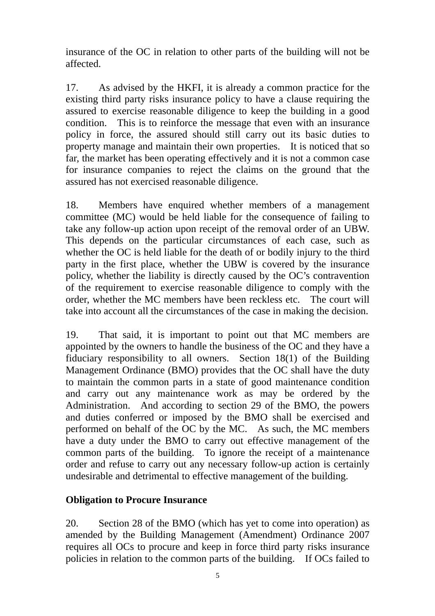insurance of the OC in relation to other parts of the building will not be affected.

17. As advised by the HKFI, it is already a common practice for the existing third party risks insurance policy to have a clause requiring the assured to exercise reasonable diligence to keep the building in a good condition. This is to reinforce the message that even with an insurance policy in force, the assured should still carry out its basic duties to property manage and maintain their own properties. It is noticed that so far, the market has been operating effectively and it is not a common case for insurance companies to reject the claims on the ground that the assured has not exercised reasonable diligence.

18. Members have enquired whether members of a management committee (MC) would be held liable for the consequence of failing to take any follow-up action upon receipt of the removal order of an UBW. This depends on the particular circumstances of each case, such as whether the OC is held liable for the death of or bodily injury to the third party in the first place, whether the UBW is covered by the insurance policy, whether the liability is directly caused by the OC's contravention of the requirement to exercise reasonable diligence to comply with the order, whether the MC members have been reckless etc. The court will take into account all the circumstances of the case in making the decision.

19. That said, it is important to point out that MC members are appointed by the owners to handle the business of the OC and they have a fiduciary responsibility to all owners. Section 18(1) of the Building Management Ordinance (BMO) provides that the OC shall have the duty to maintain the common parts in a state of good maintenance condition and carry out any maintenance work as may be ordered by the Administration. And according to section 29 of the BMO, the powers and duties conferred or imposed by the BMO shall be exercised and performed on behalf of the OC by the MC. As such, the MC members have a duty under the BMO to carry out effective management of the common parts of the building. To ignore the receipt of a maintenance order and refuse to carry out any necessary follow-up action is certainly undesirable and detrimental to effective management of the building.

## **Obligation to Procure Insurance**

20. Section 28 of the BMO (which has yet to come into operation) as amended by the Building Management (Amendment) Ordinance 2007 requires all OCs to procure and keep in force third party risks insurance policies in relation to the common parts of the building. If OCs failed to